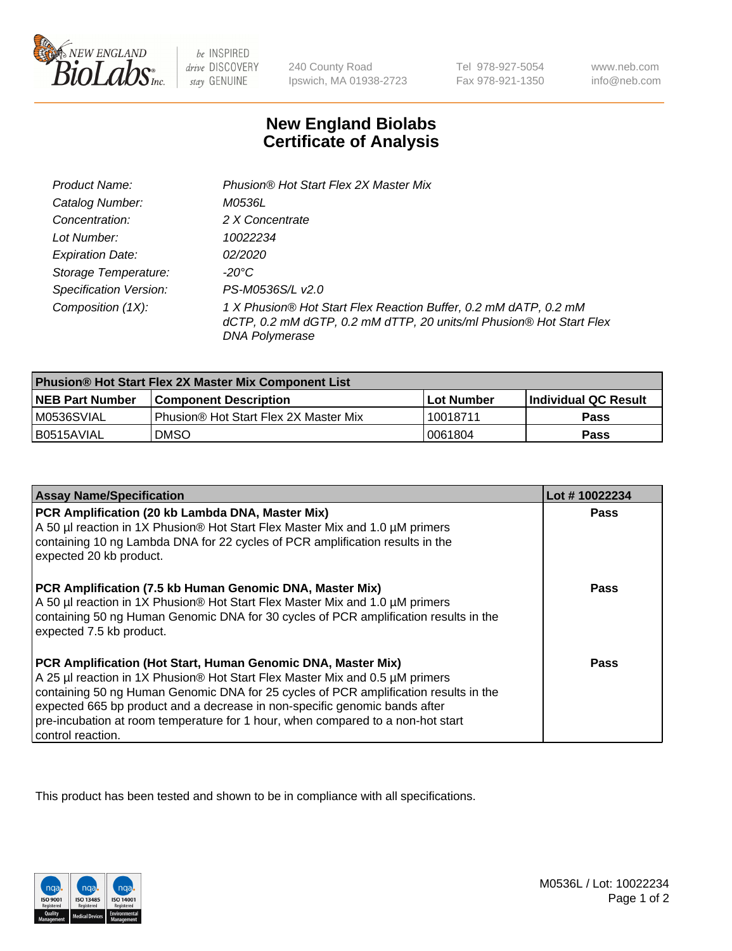

be INSPIRED drive DISCOVERY stay GENUINE

240 County Road Ipswich, MA 01938-2723

Tel 978-927-5054 Fax 978-921-1350

www.neb.com info@neb.com

## **New England Biolabs Certificate of Analysis**

| Product Name:                 | Phusion® Hot Start Flex 2X Master Mix                                                                                                                            |
|-------------------------------|------------------------------------------------------------------------------------------------------------------------------------------------------------------|
| Catalog Number:               | <i>M0536L</i>                                                                                                                                                    |
| Concentration:                | 2 X Concentrate                                                                                                                                                  |
| Lot Number:                   | 10022234                                                                                                                                                         |
| <b>Expiration Date:</b>       | <i>02/2020</i>                                                                                                                                                   |
| Storage Temperature:          | -20°C                                                                                                                                                            |
| <b>Specification Version:</b> | PS-M0536S/L v2.0                                                                                                                                                 |
| Composition (1X):             | 1 X Phusion® Hot Start Flex Reaction Buffer, 0.2 mM dATP, 0.2 mM<br>dCTP, 0.2 mM dGTP, 0.2 mM dTTP, 20 units/ml Phusion® Hot Start Flex<br><b>DNA Polymerase</b> |

| <b>Phusion® Hot Start Flex 2X Master Mix Component List</b> |                                       |            |                             |  |
|-------------------------------------------------------------|---------------------------------------|------------|-----------------------------|--|
| <b>NEB Part Number</b>                                      | <b>Component Description</b>          | Lot Number | <b>Individual QC Result</b> |  |
| M0536SVIAL                                                  | Phusion® Hot Start Flex 2X Master Mix | 10018711   | Pass                        |  |
| I B0515AVIAL                                                | <b>DMSO</b>                           | 0061804    | <b>Pass</b>                 |  |

| <b>Assay Name/Specification</b>                                                                                                                                                                                                                                                                                                                                                                                            | Lot #10022234 |
|----------------------------------------------------------------------------------------------------------------------------------------------------------------------------------------------------------------------------------------------------------------------------------------------------------------------------------------------------------------------------------------------------------------------------|---------------|
| PCR Amplification (20 kb Lambda DNA, Master Mix)<br>A 50 µl reaction in 1X Phusion® Hot Start Flex Master Mix and 1.0 µM primers<br>containing 10 ng Lambda DNA for 22 cycles of PCR amplification results in the<br>expected 20 kb product.                                                                                                                                                                               | <b>Pass</b>   |
| PCR Amplification (7.5 kb Human Genomic DNA, Master Mix)<br>A 50 µl reaction in 1X Phusion® Hot Start Flex Master Mix and 1.0 µM primers<br>containing 50 ng Human Genomic DNA for 30 cycles of PCR amplification results in the<br>expected 7.5 kb product.                                                                                                                                                               | <b>Pass</b>   |
| PCR Amplification (Hot Start, Human Genomic DNA, Master Mix)<br>A 25 µl reaction in 1X Phusion® Hot Start Flex Master Mix and 0.5 µM primers<br>containing 50 ng Human Genomic DNA for 25 cycles of PCR amplification results in the<br>expected 665 bp product and a decrease in non-specific genomic bands after<br>pre-incubation at room temperature for 1 hour, when compared to a non-hot start<br>control reaction. | Pass          |

This product has been tested and shown to be in compliance with all specifications.